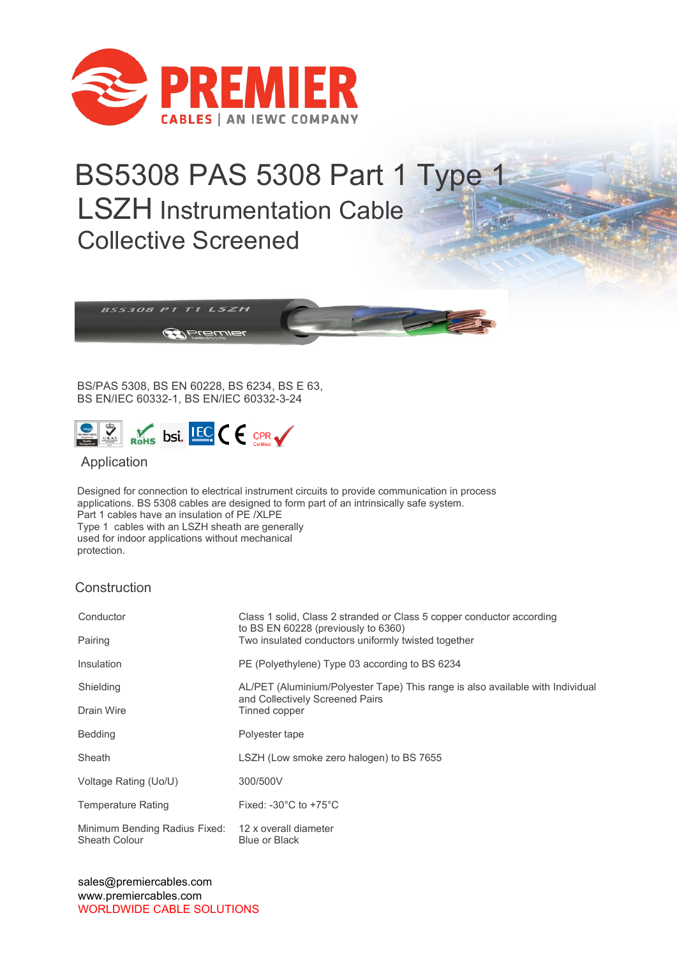

## BS5308 PAS 5308 Part 1 Type 1 LSZH Instrumentation Cable Collective Screened



BS/PAS 5308, BS EN 60228, BS 6234, BS E 63, BS EN/IEC 60332-1, BS EN/IEC 60332-3-24



## Application

Designed for connection to electrical instrument circuits to provide communication in process applications. BS 5308 cables are designed to form part of an intrinsically safe system. Part 1 cables have an insulation of PE /XLPE Type 1 cables with an LSZH sheath are generally used for indoor applications without mechanical protection.

## **Construction**

| Conductor                                                            | Class 1 solid, Class 2 stranded or Class 5 copper conductor according<br>to BS EN 60228 (previously to 6360)      |
|----------------------------------------------------------------------|-------------------------------------------------------------------------------------------------------------------|
| Pairing                                                              | Two insulated conductors uniformly twisted together                                                               |
| Insulation                                                           | PE (Polyethylene) Type 03 according to BS 6234                                                                    |
| Shielding                                                            | AL/PET (Aluminium/Polyester Tape) This range is also available with Individual<br>and Collectively Screened Pairs |
| Drain Wire                                                           | Tinned copper                                                                                                     |
| <b>Bedding</b>                                                       | Polyester tape                                                                                                    |
| Sheath                                                               | LSZH (Low smoke zero halogen) to BS 7655                                                                          |
| Voltage Rating (Uo/U)                                                | 300/500V                                                                                                          |
| <b>Temperature Rating</b>                                            | Fixed: -30 $^{\circ}$ C to +75 $^{\circ}$ C                                                                       |
| Minimum Bending Radius Fixed: 12 x overall diameter<br>Sheath Colour | Blue or Black                                                                                                     |

sales@premiercables.com www.premiercables.com WORLDWIDE CABLE SOLUTIONS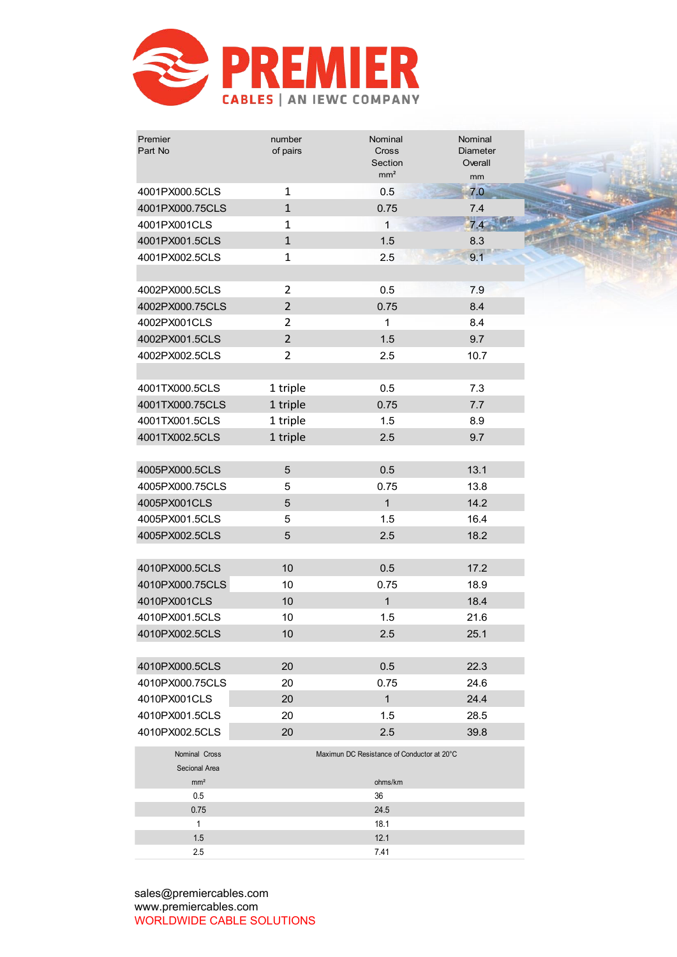

| Premier<br>Part No             | number<br>of pairs | Nominal<br>Cross<br>Section<br>mm <sup>2</sup> | Nominal<br>Diameter<br>Overall<br>mm |  |
|--------------------------------|--------------------|------------------------------------------------|--------------------------------------|--|
| 4001PX000.5CLS                 | $\mathbf{1}$       | 0.5                                            | 7.0                                  |  |
| 4001PX000.75CLS                | $\mathbf{1}$       | 0.75                                           | 7.4                                  |  |
| 4001PX001CLS                   | $\mathbf{1}$       | $\mathbf{1}$                                   | 7.4                                  |  |
| 4001PX001.5CLS                 | $\mathbf{1}$       | 1.5                                            | 8.3                                  |  |
| 4001PX002.5CLS                 | $\mathbf{1}$       | 2.5                                            | 9.1                                  |  |
| 4002PX000.5CLS                 | $\overline{2}$     | 0.5                                            | 7.9                                  |  |
| 4002PX000.75CLS                | $\overline{2}$     | 0.75                                           | 8.4                                  |  |
| 4002PX001CLS                   | $\overline{2}$     | $\mathbf{1}$                                   | 8.4                                  |  |
| 4002PX001.5CLS                 | $\overline{2}$     | 1.5                                            | 9.7                                  |  |
| 4002PX002.5CLS                 | $\overline{2}$     | 2.5                                            | 10.7                                 |  |
|                                |                    |                                                |                                      |  |
| 4001TX000.5CLS                 | 1 triple           | 0.5                                            | 7.3                                  |  |
| 4001TX000.75CLS                | 1 triple           | 0.75                                           | 7.7                                  |  |
| 4001TX001.5CLS                 | 1 triple           | 1.5                                            | 8.9                                  |  |
| 4001TX002.5CLS                 | 1 triple           | 2.5                                            | 9.7                                  |  |
|                                |                    |                                                |                                      |  |
| 4005PX000.5CLS                 | $\overline{5}$     | 0.5                                            | 13.1                                 |  |
| 4005PX000.75CLS                | 5                  | 0.75                                           | 13.8                                 |  |
| 4005PX001CLS                   | 5                  | $\mathbf{1}$                                   | 14.2                                 |  |
| 4005PX001.5CLS                 | 5                  | 1.5                                            | 16.4                                 |  |
| 4005PX002.5CLS                 | 5                  | 2.5                                            | 18.2                                 |  |
|                                |                    |                                                |                                      |  |
| 4010PX000.5CLS                 | 10                 | 0.5                                            | 17.2                                 |  |
| 4010PX000.75CLS                | 10                 | 0.75                                           | 18.9                                 |  |
| 4010PX001CLS                   | 10                 | $\mathbf{1}$                                   | 18.4                                 |  |
| 4010PX001.5CLS                 | 10                 | 1.5                                            | 21.6                                 |  |
| 4010PX002.5CLS                 | 10                 | 2.5                                            | 25.1                                 |  |
|                                |                    |                                                |                                      |  |
| 4010PX000.5CLS                 | 20                 | 0.5                                            | 22.3                                 |  |
| 4010PX000.75CLS                | 20                 | 0.75                                           | 24.6                                 |  |
| 4010PX001CLS                   | 20                 | $\mathbf{1}$                                   | 24.4                                 |  |
| 4010PX001.5CLS                 | 20                 | 1.5                                            | 28.5                                 |  |
| 4010PX002.5CLS                 | 20                 | 2.5                                            | 39.8                                 |  |
| Nominal Cross<br>Secional Area |                    | Maximun DC Resistance of Conductor at 20°C     |                                      |  |
| mm <sup>2</sup>                |                    | ohms/km                                        |                                      |  |
| 0.5                            |                    | 36                                             |                                      |  |
| 0.75<br>$\mathbf{1}$           |                    | 24.5<br>18.1                                   |                                      |  |
| 1.5                            |                    | 12.1                                           |                                      |  |
| 2.5                            |                    | 7.41                                           |                                      |  |
|                                |                    |                                                |                                      |  |

sales@premiercables.com www.premiercables.com WORLDWIDE CABLE SOLUTIONS